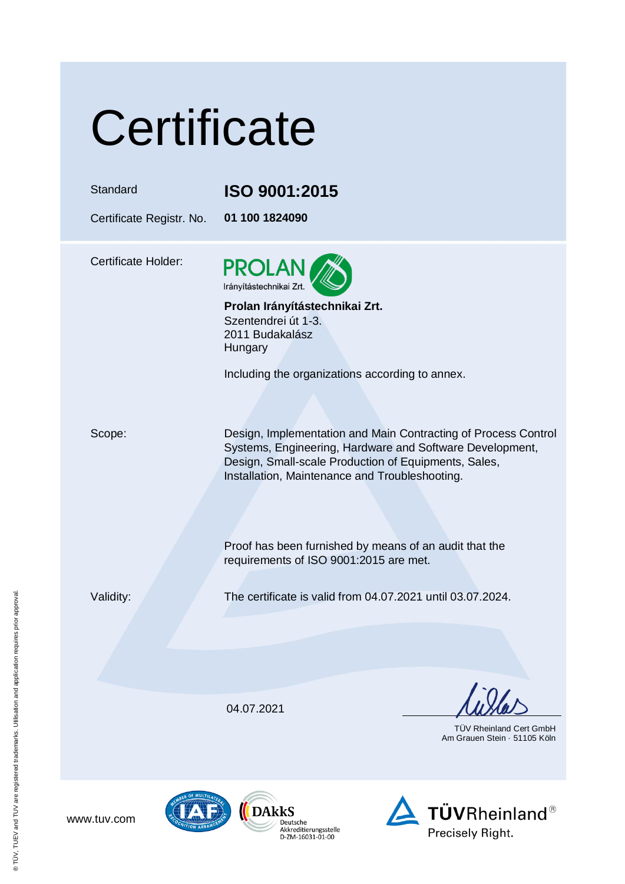| Certificate |  |
|-------------|--|
|             |  |

## Standard **ISO 9001:2015**

Certificate Registr. No. **01 100 1824090**

Certificate Holder:



**Prolan Irányítástechnikai Zrt.** Szentendrei út 1-3. 2011 Budakalász Hungary

Including the organizations according to annex.

Scope: Design, Implementation and Main Contracting of Process Control Systems, Engineering, Hardware and Software Development, Design, Small-scale Production of Equipments, Sales, Installation, Maintenance and Troubleshooting.

> Proof has been furnished by means of an audit that the requirements of ISO 9001:2015 are met.

Validity: The certificate is valid from 04.07.2021 until 03.07.2024.

04.07.2021

Deutsche Akkreditierungsstelle

D-ZM-16031-01-00

 TÜV Rheinland Cert GmbH Am Grauen Stein · 51105 Köln



www.tuv.com